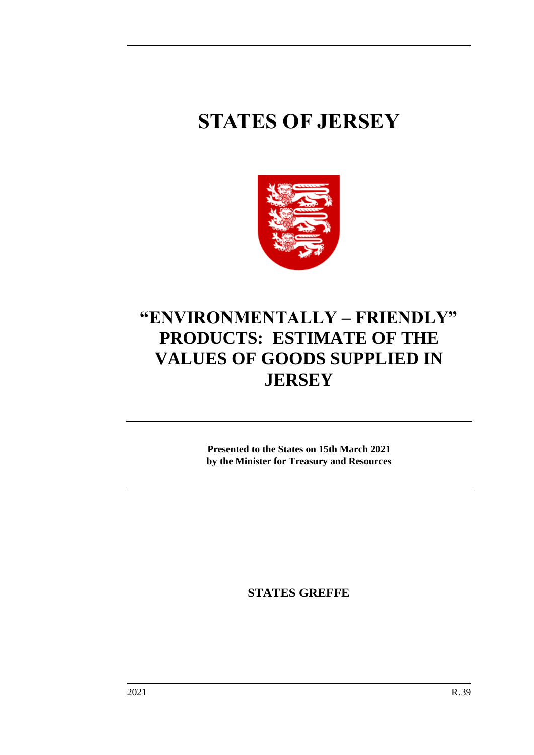# **STATES OF JERSEY**



## **"ENVIRONMENTALLY – FRIENDLY" PRODUCTS: ESTIMATE OF THE VALUES OF GOODS SUPPLIED IN JERSEY**

**Presented to the States on 15th March 2021 by the Minister for Treasury and Resources**

**STATES GREFFE**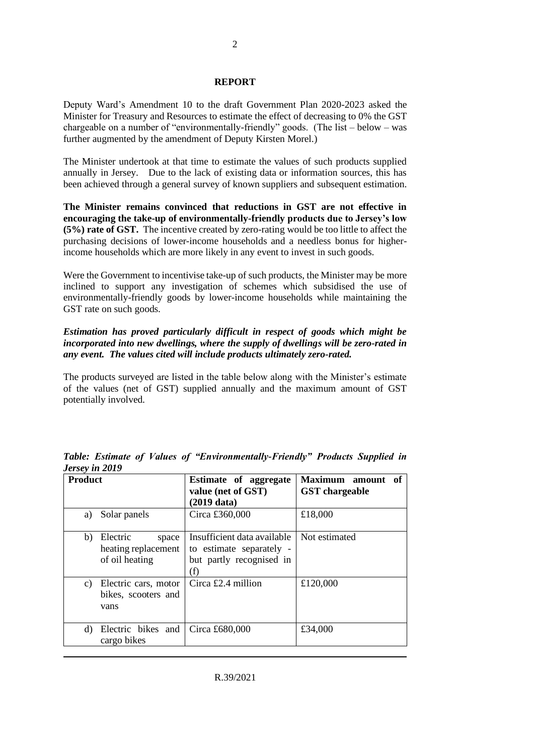#### **REPORT**

Deputy Ward's Amendment 10 to the draft Government Plan 2020-2023 asked the Minister for Treasury and Resources to estimate the effect of decreasing to 0% the GST chargeable on a number of "environmentally-friendly" goods. (The list – below – was further augmented by the amendment of Deputy Kirsten Morel.)

The Minister undertook at that time to estimate the values of such products supplied annually in Jersey. Due to the lack of existing data or information sources, this has been achieved through a general survey of known suppliers and subsequent estimation.

**The Minister remains convinced that reductions in GST are not effective in encouraging the take-up of environmentally-friendly products due to Jersey's low (5%) rate of GST.** The incentive created by zero-rating would be too little to affect the purchasing decisions of lower-income households and a needless bonus for higherincome households which are more likely in any event to invest in such goods.

Were the Government to incentivise take-up of such products, the Minister may be more inclined to support any investigation of schemes which subsidised the use of environmentally-friendly goods by lower-income households while maintaining the GST rate on such goods.

#### *Estimation has proved particularly difficult in respect of goods which might be incorporated into new dwellings, where the supply of dwellings will be zero-rated in any event. The values cited will include products ultimately zero-rated.*

The products surveyed are listed in the table below along with the Minister's estimate of the values (net of GST) supplied annually and the maximum amount of GST potentially involved.

| <b>Product</b> |                                                            | Estimate of aggregate<br>value (net of GST)<br>$(2019$ data)                               | Maximum amount of<br><b>GST</b> chargeable |
|----------------|------------------------------------------------------------|--------------------------------------------------------------------------------------------|--------------------------------------------|
| a)             | Solar panels                                               | Circa £360,000                                                                             | £18,000                                    |
| b)             | Electric<br>space<br>heating replacement<br>of oil heating | Insufficient data available<br>to estimate separately -<br>but partly recognised in<br>(f) | Not estimated                              |
| C)             | Electric cars, motor<br>bikes, scooters and<br>vans        | Circa $£2.4$ million                                                                       | £120,000                                   |
| d)             | Electric bikes and<br>cargo bikes                          | Circa £680,000                                                                             | £34,000                                    |

*Table: Estimate of Values of "Environmentally-Friendly" Products Supplied in Jersey in 2019*